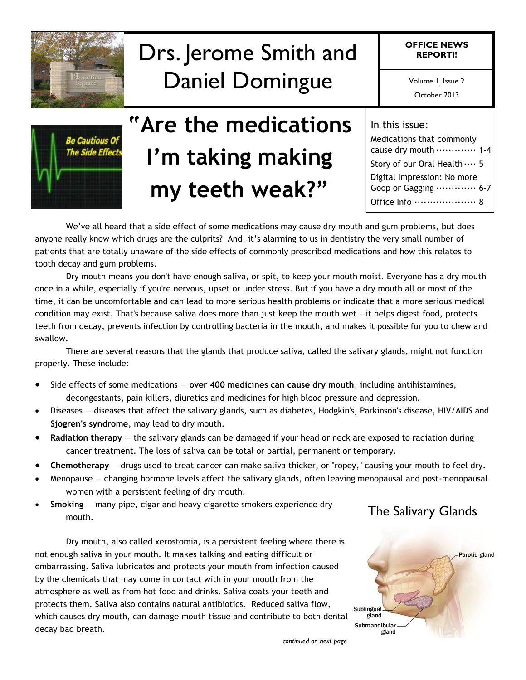

# Drs. Jerome Smith and Daniel Domingue

**OFFICE NEWS REPORT!!**

Volume 1, Issue 2

October 2013



# **"Are the medications I'm taking making my teeth weak?"**

| In this issue:                                             |
|------------------------------------------------------------|
| Medications that commonly                                  |
| cause dry mouth  1-4                                       |
| Story of our Oral Health  5<br>Digital Impression: No more |
| Goop or Gagging  6-7                                       |
| Office Info  8                                             |

We've all heard that a side effect of some medications may cause dry mouth and gum problems, but does anyone really know which drugs are the culprits? And, it's alarming to us in dentistry the very small number of patients that are totally unaware of the side effects of commonly prescribed medications and how this relates to tooth decay and gum problems.

Dry mouth means you don't have enough saliva, or spit, to keep your mouth moist. Everyone has a dry mouth once in a while, especially if you're nervous, upset or under stress. But if you have a dry mouth all or most of the time, it can be uncomfortable and can lead to more serious health problems or indicate that a more serious medical condition may exist. That's because saliva does more than just keep the mouth wet —it helps digest food, protects teeth from decay, prevents infection by controlling bacteria in the mouth, and makes it possible for you to chew and swallow.

There are several reasons that the glands that produce saliva, called the salivary glands, might not function properly. These include:

- Side effects of some medications **over 400 medicines can cause dry mouth**, including antihistamines, decongestants, pain killers, diuretics and medicines for high blood pressure and depression.
- Diseases diseases that affect the salivary glands, such as diabetes, Hodgkin's, Parkinson's disease, HIV/AIDS and **Sjogren's syndrome**, may lead to dry mouth.
- **Radiation therapy**  the salivary glands can be damaged if your head or neck are exposed to radiation during cancer treatment. The loss of saliva can be total or partial, permanent or temporary.
- **Chemotherapy**  drugs used to treat cancer can make saliva thicker, or "ropey," causing your mouth to feel dry.
- Menopause changing hormone levels affect the salivary glands, often leaving menopausal and post-menopausal women with a persistent feeling of dry mouth.
- **Smoking**  many pipe, cigar and heavy cigarette smokers experience dry mouth.

Dry mouth, also called xerostomia, is a persistent feeling where there is not enough saliva in your mouth. It makes talking and eating difficult or embarrassing. Saliva lubricates and protects your mouth from infection caused by the chemicals that may come in contact with in your mouth from the atmosphere as well as from hot food and drinks. Saliva coats your teeth and protects them. Saliva also contains natural antibiotics. Reduced saliva flow, which causes dry mouth, can damage mouth tissue and contribute to both dental decay bad breath.



The Salivary Glands

*continued on next page*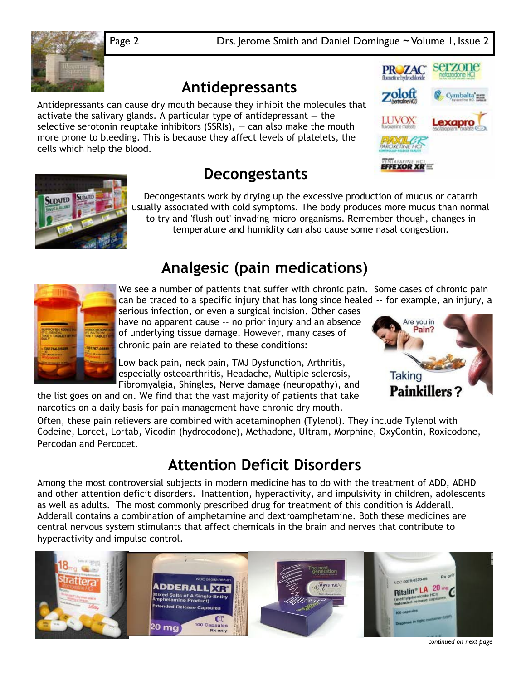Volume 1, Issue 2 Page 2 Drs. Jerome Smith and Daniel Domingue ~ Volume 1, Issue 2

### **Antidepressants**

Antidepressants can cause dry mouth because they inhibit the molecules that activate the salivary glands. A particular type of antidepressant  $-$  the selective serotonin reuptake inhibitors (SSRIs),  $-$  can also make the mouth more prone to bleeding. This is because they affect levels of platelets, the cells which help the blood.



Are you in Pain?

**Taking** 



### **Decongestants**

Decongestants work by drying up the excessive production of mucus or catarrh usually associated with cold symptoms. The body produces more mucus than normal to try and 'flush out' invading micro-organisms. Remember though, changes in temperature and humidity can also cause some nasal congestion.

### **Analgesic (pain medications)**



We see a number of patients that suffer with chronic pain. Some cases of chronic pain can be traced to a specific injury that has long since healed -- for example, an injury, a

serious infection, or even a surgical incision. Other cases have no apparent cause -- no prior injury and an absence of underlying tissue damage. However, many cases of chronic pain are related to these conditions:

Low back pain, neck pain, TMJ Dysfunction, Arthritis, especially osteoarthritis, Headache, Multiple sclerosis, Fibromyalgia, Shingles, Nerve damage (neuropathy), and

the list goes on and on. We find that the vast majority of patients that take narcotics on a daily basis for pain management have chronic dry mouth.

**Painkillers?** 

Often, these pain relievers are combined with acetaminophen (Tylenol). They include Tylenol with Codeine, Lorcet, Lortab, Vicodin (hydrocodone), Methadone, Ultram, Morphine, OxyContin, Roxicodone, Percodan and Percocet.

### **Attention Deficit Disorders**

Among the most controversial subjects in modern medicine has to do with the treatment of ADD, ADHD and other attention deficit disorders. Inattention, hyperactivity, and impulsivity in children, adolescents as well as adults. The most commonly prescribed drug for treatment of this condition is Adderall. Adderall contains a combination of amphetamine and dextroamphetamine. Both these medicines are central nervous system stimulants that affect chemicals in the brain and nerves that contribute to hyperactivity and impulse control.

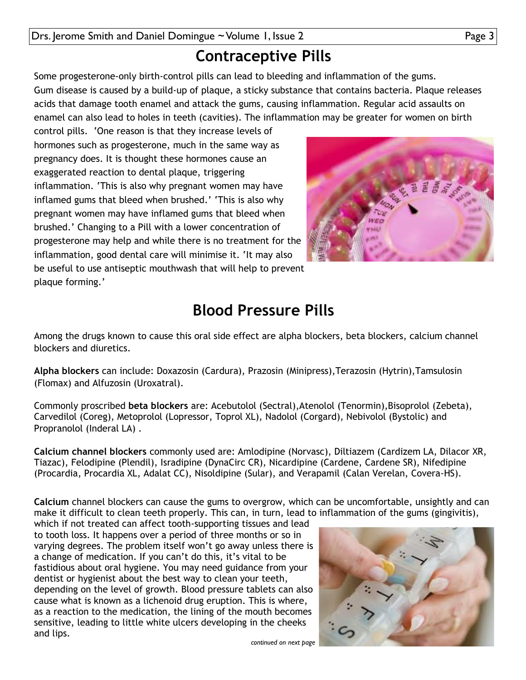### **Contraceptive Pills**

Some progesterone-only birth-control pills can lead to bleeding and inflammation of the gums. Gum disease is caused by a build-up of plaque, a sticky substance that contains bacteria. Plaque releases acids that damage tooth enamel and attack the gums, causing inflammation. Regular acid assaults on enamel can also lead to holes in teeth (cavities). The inflammation may be greater for women on birth

control pills. 'One reason is that they increase levels of hormones such as progesterone, much in the same way as pregnancy does. It is thought these hormones cause an exaggerated reaction to dental plaque, triggering inflammation. 'This is also why pregnant women may have inflamed gums that bleed when brushed.' 'This is also why pregnant women may have inflamed gums that bleed when brushed.' Changing to a Pill with a lower concentration of progesterone may help and while there is no treatment for the inflammation, good dental care will minimise it. 'It may also be useful to use antiseptic mouthwash that will help to prevent plaque forming.'



### **Blood Pressure Pills**

Among the drugs known to cause this oral side effect are alpha blockers, beta blockers, calcium channel blockers and diuretics.

**Alpha blockers** can include: Doxazosin (Cardura), Prazosin (Minipress),Terazosin (Hytrin),Tamsulosin (Flomax) and Alfuzosin (Uroxatral).

Commonly proscribed **beta blockers** are: Acebutolol (Sectral),Atenolol (Tenormin),Bisoprolol (Zebeta), Carvedilol (Coreg), Metoprolol (Lopressor, Toprol XL), Nadolol (Corgard), Nebivolol (Bystolic) and Propranolol (Inderal LA) .

**Calcium channel blockers** commonly used are: Amlodipine (Norvasc), Diltiazem (Cardizem LA, Dilacor XR, Tiazac), Felodipine (Plendil), Isradipine (DynaCirc CR), Nicardipine (Cardene, Cardene SR), Nifedipine (Procardia, Procardia XL, Adalat CC), Nisoldipine (Sular), and Verapamil (Calan Verelan, Covera-HS).

**Calcium** channel blockers can cause the gums to overgrow, which can be uncomfortable, unsightly and can make it difficult to clean teeth properly. This can, in turn, lead to inflammation of the gums (gingivitis),

which if not treated can affect tooth-supporting tissues and lead to tooth loss. It happens over a period of three months or so in varying degrees. The problem itself won't go away unless there is a change of medication. If you can't do this, it's vital to be fastidious about oral hygiene. You may need guidance from your dentist or hygienist about the best way to clean your teeth, depending on the level of growth. Blood pressure tablets can also cause what is known as a lichenoid drug eruption. This is where, as a reaction to the medication, the lining of the mouth becomes sensitive, leading to little white ulcers developing in the cheeks and lips.



*continued on next page*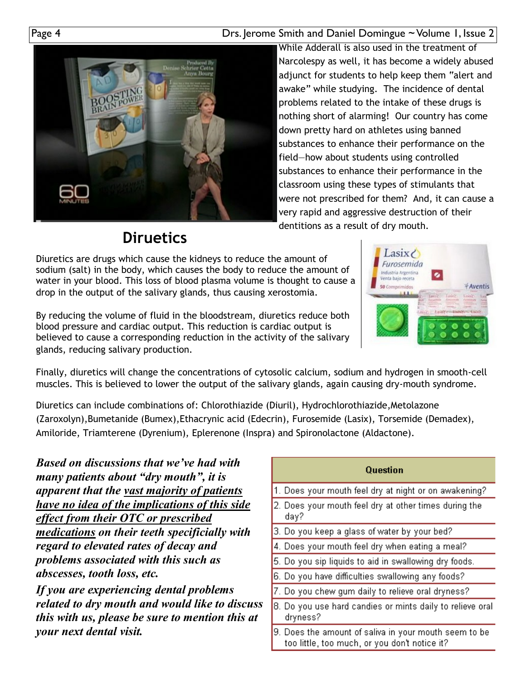Page 4 **Drs. Jerome Smith and Daniel Domingue ~ Volume 1, Issue 2** 



While Adderall is also used in the treatment of Narcolespy as well, it has become a widely abused adjunct for students to help keep them "alert and awake" while studying. The incidence of dental problems related to the intake of these drugs is nothing short of alarming! Our country has come down pretty hard on athletes using banned substances to enhance their performance on the field—how about students using controlled substances to enhance their performance in the classroom using these types of stimulants that were not prescribed for them? And, it can cause a very rapid and aggressive destruction of their dentitions as a result of dry mouth.

### **Diruetics**

Diuretics are drugs which cause the kidneys to reduce the amount of sodium (salt) in the body, which causes the body to reduce the amount of water in your blood. This loss of blood plasma volume is thought to cause a drop in the output of the salivary glands, thus causing xerostomia.



By reducing the volume of fluid in the bloodstream, diuretics reduce both blood pressure and cardiac output. This reduction is cardiac output is believed to cause a corresponding reduction in the activity of the salivary glands, reducing salivary production.

Finally, diuretics will change the concentrations of cytosolic calcium, sodium and hydrogen in smooth-cell muscles. This is believed to lower the output of the salivary glands, again causing dry-mouth syndrome.

Diuretics can include combinations of: Chlorothiazide (Diuril), Hydrochlorothiazide,Metolazone (Zaroxolyn),Bumetanide (Bumex),Ethacrynic acid (Edecrin), Furosemide (Lasix), Torsemide (Demadex), Amiloride, Triamterene (Dyrenium), Eplerenone (Inspra) and Spironolactone (Aldactone).

*Based on discussions that we've had with many patients about "dry mouth", it is apparent that the vast majority of patients have no idea of the implications of this side effect from their OTC or prescribed medications on their teeth specificially with regard to elevated rates of decay and problems associated with this such as abscesses, tooth loss, etc.* 

*If you are experiencing dental problems related to dry mouth and would like to discuss this with us, please be sure to mention this at your next dental visit.*

| Question                                                                                               |
|--------------------------------------------------------------------------------------------------------|
| 1. Does your mouth feel dry at night or on awakening?                                                  |
| 2. Does your mouth feel dry at other times during the<br>day?                                          |
| 3. Do you keep a glass of water by your bed?                                                           |
| 4. Does your mouth feel dry when eating a meal?                                                        |
| 5. Do you sip liquids to aid in swallowing dry foods.                                                  |
| 6. Do you have difficulties swallowing any foods?                                                      |
| 7. Do you chew gum daily to relieve oral dryness?                                                      |
| 8. Do you use hard candies or mints daily to relieve oral<br>dryness?                                  |
| 9. Does the amount of saliva in your mouth seem to be<br>too little, too much, or you don't notice it? |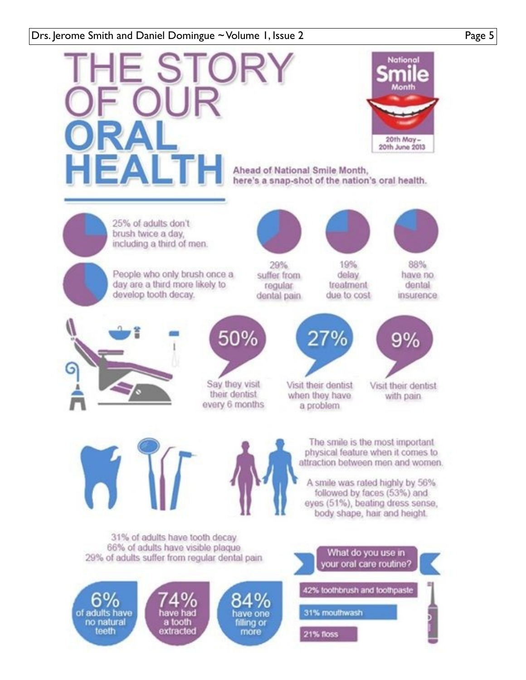### Drs. Jerome Smith and Daniel Domingue ~ Volume 1, Issue 2 Page 5

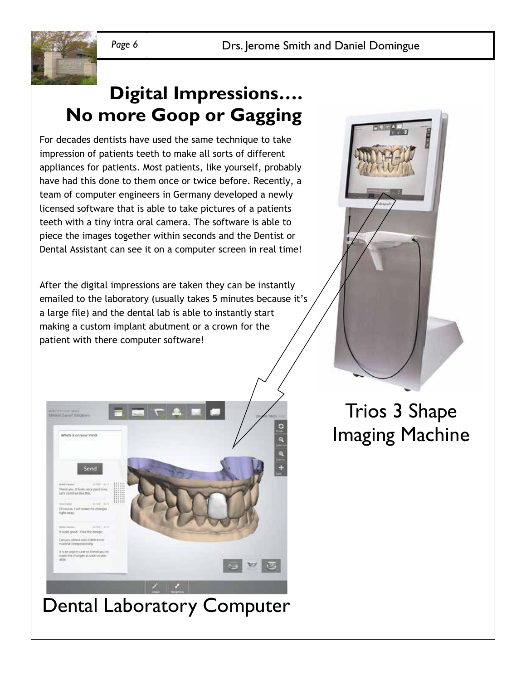

### **Digital Impressions…. No more Goop or Gagging**

For decades dentists have used the same technique to take impression of patients teeth to make all sorts of different appliances for patients. Most patients, like yourself, probably have had this done to them once or twice before. Recently, a team of computer engineers in Germany developed a newly licensed software that is able to take pictures of a patients teeth with a tiny intra oral camera. The software is able to piece the images together within seconds and the Dentist or Dental Assistant can see it on a computer screen in real time!

After the digital impressions are taken they can be instantly emailed to the laboratory (usually takes 5 minutes because it's a large file) and the dental lab is able to instantly start making a custom implant abutment or a crown for the patient with there computer software!



## Dental Laboratory Computer



## Trios 3 Shape Imaging Machine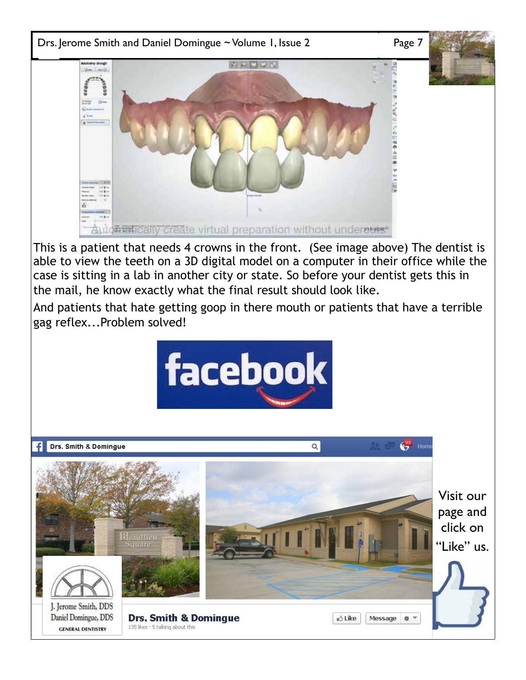

This is a patient that needs 4 crowns in the front. (See image above) The dentist is able to view the teeth on a 3D digital model on a computer in their office while the case is sitting in a lab in another city or state. So before your dentist gets this in the mail, he know exactly what the final result should look like.

And patients that hate getting goop in there mouth or patients that have a terrible gag reflex...Problem solved!